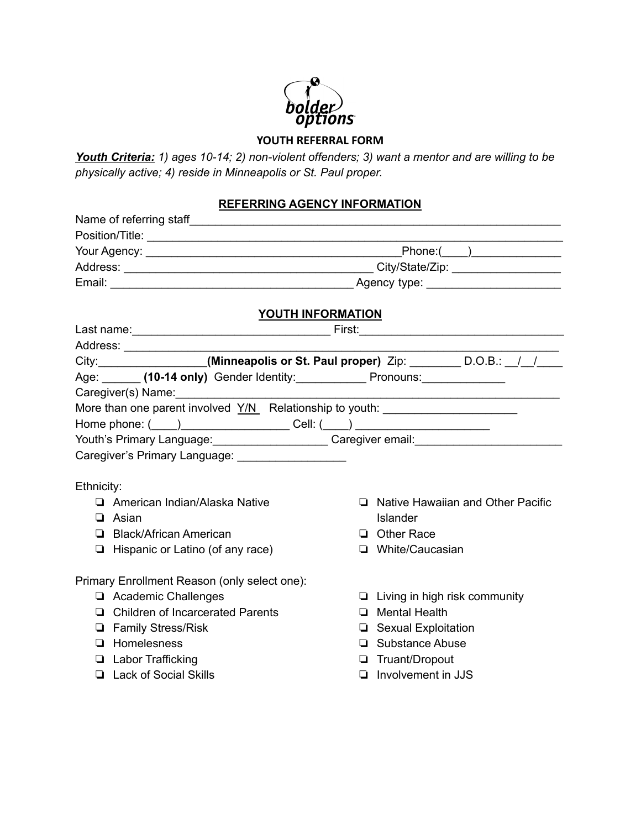# bolder)<br>options

## **YOUTH REFERRAL FORM**

*Youth Criteria: 1) ages 10-14; 2) non-violent offenders; 3) want a mentor and are willing to be physically active; 4) reside in Minneapolis or St. Paul proper.*

#### **REFERRING AGENCY INFORMATION**

|                                                                                                     |                                                                                  |                   | $\boxed{\text{Phone:}(\_\_\_)}$      |  |
|-----------------------------------------------------------------------------------------------------|----------------------------------------------------------------------------------|-------------------|--------------------------------------|--|
|                                                                                                     |                                                                                  |                   |                                      |  |
|                                                                                                     |                                                                                  |                   |                                      |  |
|                                                                                                     |                                                                                  |                   |                                      |  |
|                                                                                                     |                                                                                  | YOUTH INFORMATION |                                      |  |
|                                                                                                     |                                                                                  |                   |                                      |  |
|                                                                                                     |                                                                                  |                   |                                      |  |
|                                                                                                     | City: ________________(Minneapolis or St. Paul proper) Zip: ________ D.O.B.: 1/1 |                   |                                      |  |
|                                                                                                     | Age: ______ (10-14 only) Gender Identity: ______________ Pronouns: _____________ |                   |                                      |  |
|                                                                                                     | Caregiver(s) Name:<br><u>[</u> [11] Daniel Caregiver(s) Name:                    |                   |                                      |  |
|                                                                                                     | More than one parent involved Y/N Relationship to youth: _______________________ |                   |                                      |  |
|                                                                                                     | Home phone: (____)__________________________Cell: (____) _______________________ |                   |                                      |  |
| Youth's Primary Language: ________________________Caregiver email: ________________________________ |                                                                                  |                   |                                      |  |
|                                                                                                     | Caregiver's Primary Language: ____________________                               |                   |                                      |  |
|                                                                                                     |                                                                                  |                   |                                      |  |
| Ethnicity:                                                                                          |                                                                                  |                   |                                      |  |
|                                                                                                     | American Indian/Alaska Native                                                    |                   | □ Native Hawaiian and Other Pacific  |  |
|                                                                                                     | $\Box$ Asian                                                                     |                   | Islander                             |  |
|                                                                                                     | □ Black/African American                                                         |                   | $\Box$ Other Race                    |  |
|                                                                                                     | $\Box$ Hispanic or Latino (of any race)                                          |                   | □ White/Caucasian                    |  |
|                                                                                                     |                                                                                  |                   |                                      |  |
|                                                                                                     | Primary Enrollment Reason (only select one):                                     |                   |                                      |  |
|                                                                                                     | Academic Challenges                                                              |                   | $\Box$ Living in high risk community |  |
|                                                                                                     | □ Children of Incarcerated Parents                                               |                   | $\Box$ Mental Health                 |  |
|                                                                                                     | <b>E</b> Family Stress/Risk                                                      |                   | □ Sexual Exploitation                |  |
|                                                                                                     | $\Box$ Homelesness                                                               |                   | □ Substance Abuse                    |  |
|                                                                                                     | <b>Labor Trafficking</b>                                                         |                   | Truant/Dropout                       |  |
|                                                                                                     | <b>Lack of Social Skills</b>                                                     |                   | $\Box$ Involvement in JJS            |  |
|                                                                                                     |                                                                                  |                   |                                      |  |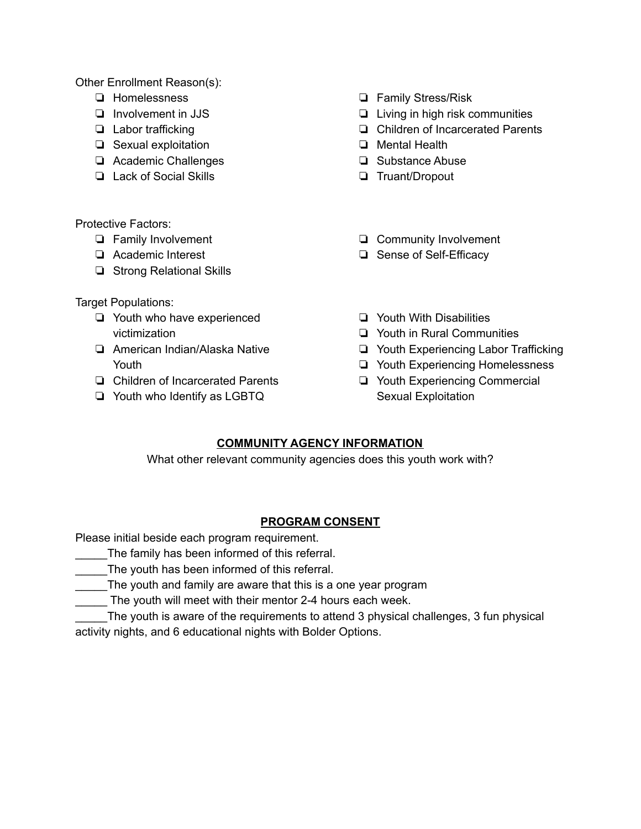Other Enrollment Reason(s):

- ❏ Homelessness
- ❏ Involvement in JJS
- ❏ Labor trafficking
- ❏ Sexual exploitation
- ❏ Academic Challenges
- ❏ Lack of Social Skills
- ❏ Family Stress/Risk
- ❏ Living in high risk communities
- ❏ Children of Incarcerated Parents
- ❏ Mental Health
- ❏ Substance Abuse
- ❏ Truant/Dropout

- Protective Factors:
	- ❏ Family Involvement
	- ❏ Academic Interest
	- ❏ Strong Relational Skills

Target Populations:

- ❏ Youth who have experienced victimization
- ❏ American Indian/Alaska Native Youth
- ❏ Children of Incarcerated Parents
- ❏ Youth who Identify as LGBTQ
- ❏ Community Involvement
- ❏ Sense of Self-Efficacy
- ❏ Youth With Disabilities
- ❏ Youth in Rural Communities
- ❏ Youth Experiencing Labor Trafficking
- ❏ Youth Experiencing Homelessness
- ❏ Youth Experiencing Commercial Sexual Exploitation

### **COMMUNITY AGENCY INFORMATION**

What other relevant community agencies does this youth work with?

#### **PROGRAM CONSENT**

Please initial beside each program requirement.

- The family has been informed of this referral.
- \_\_\_\_\_The youth has been informed of this referral.
- The youth and family are aware that this is a one year program
- The youth will meet with their mentor 2-4 hours each week.

\_\_\_\_\_The youth is aware of the requirements to attend 3 physical challenges, 3 fun physical activity nights, and 6 educational nights with Bolder Options.